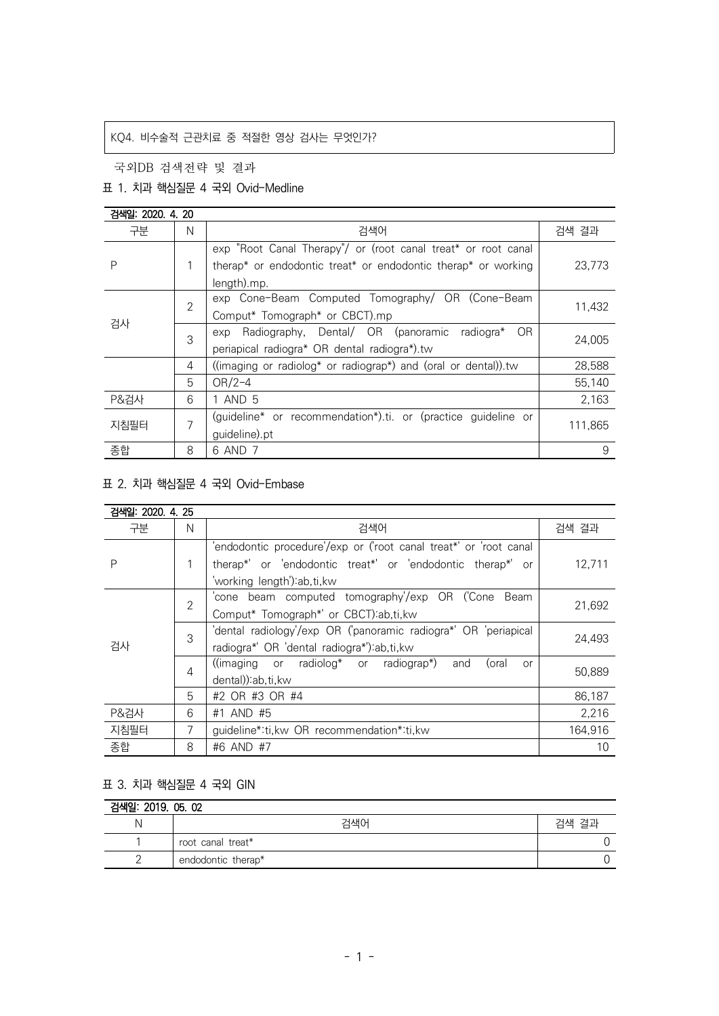# KQ4. 비수술적 근관치료 중 적절한 영상 검사는 무엇인가?

국외DB 검색전략 및 결과

## 표 1. 치과 핵심질문 4 국외 Ovid-Medline

| 검색일: 2020, 4, 20 |                |                                                                                                   |         |
|------------------|----------------|---------------------------------------------------------------------------------------------------|---------|
| 구분               | N              | 검색어                                                                                               | 검색 결과   |
|                  |                | exp "Root Canal Therapy"/ or (root canal treat* or root canal                                     |         |
| P                |                | therap <sup>*</sup> or endodontic treat <sup>*</sup> or endodontic therap <sup>*</sup> or working | 23,773  |
|                  |                | length).mp.                                                                                       |         |
| 검사               | $\overline{2}$ | exp Cone-Beam Computed Tomography/ OR (Cone-Beam                                                  |         |
|                  |                | Comput* Tomograph* or CBCT).mp                                                                    | 11,432  |
|                  | 3              | exp Radiography, Dental/ OR (panoramic radiogra*<br>OR.                                           | 24,005  |
|                  |                | periapical radiogra* OR dental radiogra*).tw                                                      |         |
| 4                |                | ((imaging or radiolog* or radiograp*) and (oral or dental)).tw                                    | 28,588  |
|                  | 5              | $OR/2-4$                                                                                          | 55,140  |
| P&검사             | 6              | 1 AND 5                                                                                           | 2,163   |
| 지침필터             | 7              | (guideline* or recommendation*).ti. or (practice guideline or                                     | 111,865 |
|                  |                | guideline).pt                                                                                     |         |
| 종합               | 8              | 6 AND 7                                                                                           | 9       |

# 표 2. 치과 핵심질문 4 국외 Ovid-Embase

| 검색일: 2020. 4. 25 |                |                                                                                                                         |         |
|------------------|----------------|-------------------------------------------------------------------------------------------------------------------------|---------|
| 구분               | N              | 검색어                                                                                                                     | 검색 결과   |
| Ρ                | 1              | 'endodontic procedure'/exp or ('root canal treat*' or 'root canal                                                       |         |
|                  |                | therap*' or 'endodontic treat*' or 'endodontic therap*' or                                                              | 12.711  |
|                  |                | 'working length') ab, ti, kw                                                                                            |         |
| 검사               | $\overline{2}$ | 'cone beam computed tomography'/exp OR ('Cone Beam                                                                      | 21,692  |
|                  |                | Comput* Tomograph*' or CBCT):ab,ti,kw                                                                                   |         |
|                  | 3              | 'dental radiology'/exp OR ('panoramic radiogra*' OR 'periapical                                                         | 24.493  |
|                  |                | radiogra*' OR 'dental radiogra*'):ab,ti,kw                                                                              |         |
|                  | 4              | $(\text{imaging} \quad \text{or} \quad \text{radiolog*} \quad \text{or} \quad \text{radiograph})$<br>(oral<br>and<br>or | 50,889  |
|                  |                | dental)):ab,ti,kw                                                                                                       |         |
|                  | 5              | #2 OR #3 OR #4                                                                                                          | 86,187  |
| P&검사             | 6              | #1 AND #5                                                                                                               | 2,216   |
| 지침필터             | 7              | guideline*:ti, kw OR recommendation*:ti, kw                                                                             | 164,916 |
| 종합               | 8              | #6 AND #7                                                                                                               | 10      |

### 표 3. 치과 핵심질문 4 국외 GIN

| 검색일: 2019. 05. 02 |                    |       |  |  |
|-------------------|--------------------|-------|--|--|
|                   | 건색어                | 검색 결과 |  |  |
|                   | root canal treat*  |       |  |  |
|                   | endodontic therap* |       |  |  |